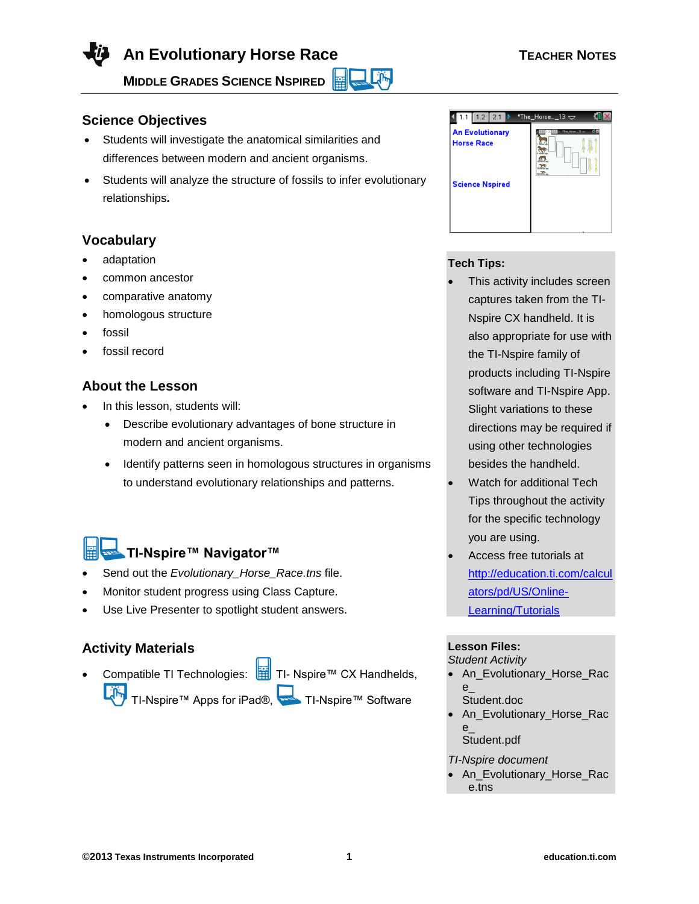**An Evolutionary Horse Race TEACHER NOTES** 

**MIDDLE GRADES SCIENCE NSPIRED** 

# **Science Objectives**

- Students will investigate the anatomical similarities and differences between modern and ancient organisms.
- Students will analyze the structure of fossils to infer evolutionary relationships**.**

# **Vocabulary**

- adaptation
- common ancestor
- comparative anatomy
- homologous structure
- fossil
- fossil record

## **About the Lesson**

- In this lesson, students will:
	- Describe evolutionary advantages of bone structure in modern and ancient organisms.
	- Identify patterns seen in homologous structures in organisms to understand evolutionary relationships and patterns.

# **TI-Nspire™ Navigator™**

- Send out the *Evolutionary\_Horse\_Race.tns* file.
- Monitor student progress using Class Capture.
- Use Live Presenter to spotlight student answers.

## **Activity Materials**

Compatible TI Technologies:  $\frac{1}{11}$  TI- Nspire™ CX Handhelds,

TI-Nspire™ Apps for iPad®, TI-Nspire™ Software



## **Tech Tips:**

Lĵ‰

- This activity includes screen captures taken from the TI-Nspire CX handheld. It is also appropriate for use with the TI-Nspire family of products including TI-Nspire software and TI-Nspire App. Slight variations to these directions may be required if using other technologies besides the handheld.
- Watch for additional Tech Tips throughout the activity for the specific technology you are using.
- Access free tutorials at [http://education.ti.com/calcul](http://education.ti.com/calculators/pd/US/Online-Learning/Tutorials) [ators/pd/US/Online-](http://education.ti.com/calculators/pd/US/Online-Learning/Tutorials)[Learning/Tutorials](http://education.ti.com/calculators/pd/US/Online-Learning/Tutorials)

## **Lesson Files:**

*Student Activity*

- An Evolutionary Horse Rac e\_ Student.doc
- An\_Evolutionary\_Horse\_Rac e\_ Student.pdf

*TI-Nspire document* 

An Evolutionary Horse Rac e.tns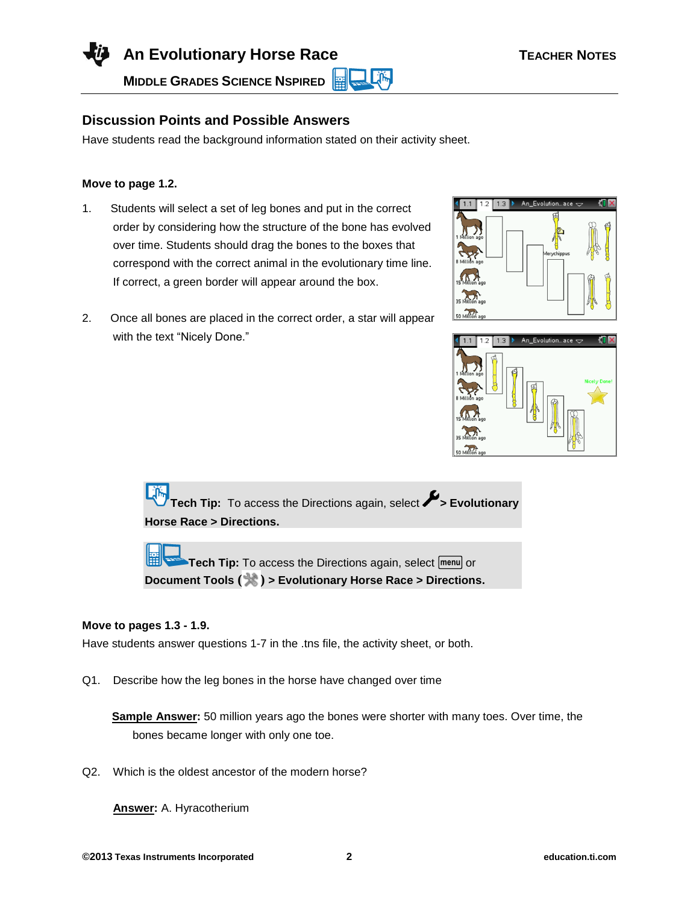**An Evolutionary Horse Race TEACHER NOTES** 

**MIDDLE GRADES SCIENCE NSPIRED**  Lilin

## **Discussion Points and Possible Answers**

Have students read the background information stated on their activity sheet.

#### **Move to page 1.2.**

- 1. Students will select a set of leg bones and put in the correct order by considering how the structure of the bone has evolved over time. Students should drag the bones to the boxes that correspond with the correct animal in the evolutionary time line. If correct, a green border will appear around the box.
- 2. Once all bones are placed in the correct order, a star will appear with the text "Nicely Done."





**Tech Tip:** To access the Directions again, select **X** Evolutionary **Horse Race > Directions.**

**Tech Tip:** To access the Directions again, select **menul** or **Document Tools ( ) > Evolutionary Horse Race > Directions.**

#### **Move to pages 1.3 - 1.9.**

Have students answer questions 1-7 in the .tns file, the activity sheet, or both.

Q1. Describe how the leg bones in the horse have changed over time

**Sample Answer:** 50 million years ago the bones were shorter with many toes. Over time, the bones became longer with only one toe.

Q2. Which is the oldest ancestor of the modern horse?

**Answer:** A. Hyracotherium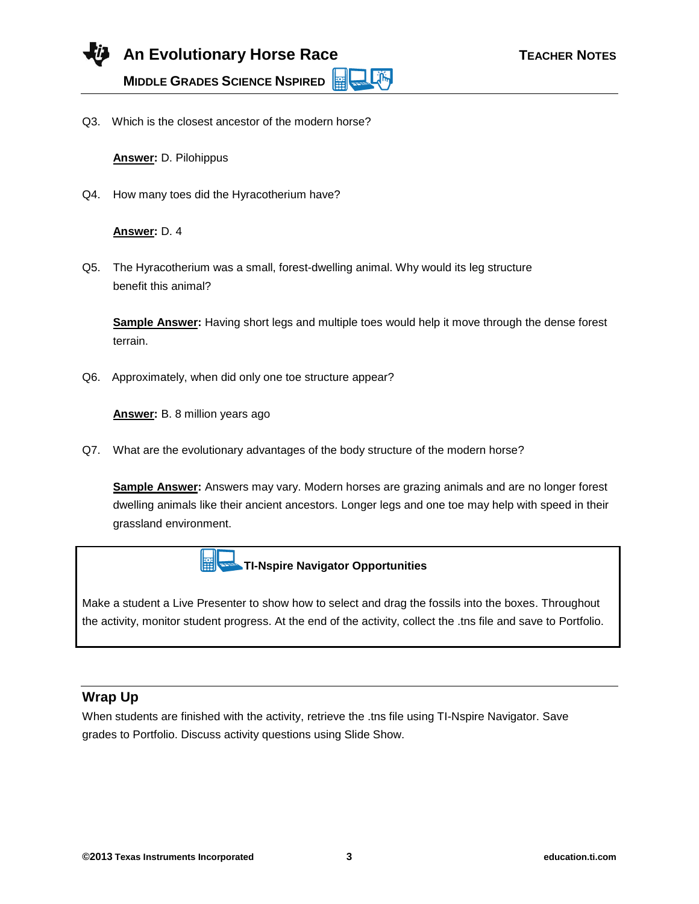Q3. Which is the closest ancestor of the modern horse?

**Answer:** D. Pilohippus

Q4. How many toes did the Hyracotherium have?

#### **Answer:** D. 4

Q5. The Hyracotherium was a small, forest-dwelling animal. Why would its leg structure benefit this animal?

**Sample Answer:** Having short legs and multiple toes would help it move through the dense forest terrain.

**Life** 

Q6. Approximately, when did only one toe structure appear?

**Answer:** B. 8 million years ago

Q7. What are the evolutionary advantages of the body structure of the modern horse?

**Sample Answer:** Answers may vary. Modern horses are grazing animals and are no longer forest dwelling animals like their ancient ancestors. Longer legs and one toe may help with speed in their grassland environment.



Make a student a Live Presenter to show how to select and drag the fossils into the boxes. Throughout the activity, monitor student progress. At the end of the activity, collect the .tns file and save to Portfolio.

## **Wrap Up**

When students are finished with the activity, retrieve the .tns file using TI-Nspire Navigator. Save grades to Portfolio. Discuss activity questions using Slide Show.